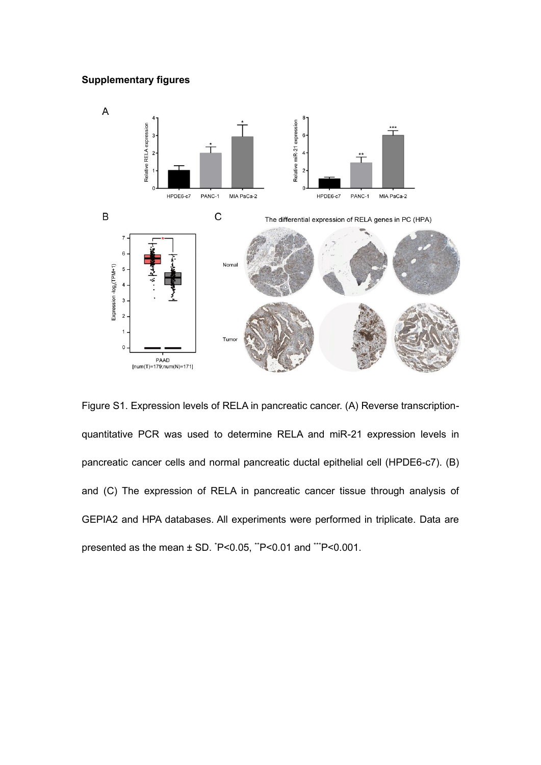## **Supplementary figures**



Figure S1. Expression levels of RELA in pancreatic cancer. (A) Reverse transcriptionquantitative PCR was used to determine RELA and miR-21 expression levels in pancreatic cancer cells and normal pancreatic ductal epithelial cell (HPDE6-c7). (B) and (C) The expression of RELA in pancreatic cancer tissue through analysis of GEPIA2 and HPA databases. All experiments were performed in triplicate. Data are presented as the mean  $\pm$  SD.  $\textdegree$ P<0.05,  $\textdegree$ P<0.01 and  $\textdegree$ P<0.001.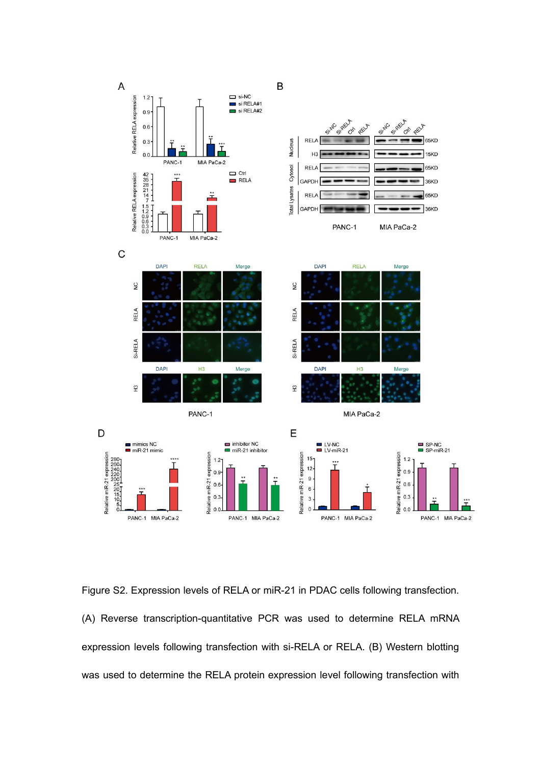

Figure S2. Expression levels of RELA or miR-21 in PDAC cells following transfection. (A) Reverse transcription-quantitative PCR was used to determine RELA mRNA expression levels following transfection with si-RELA or RELA. (B) Western blotting was used to determine the RELA protein expression level following transfection with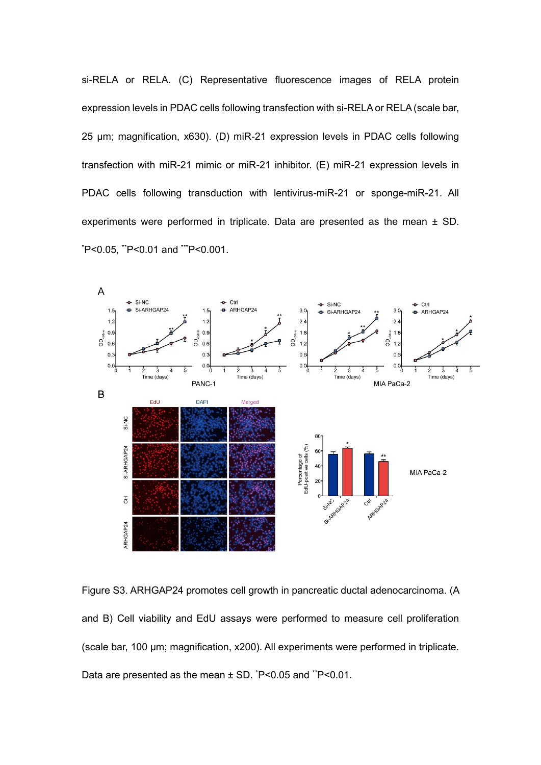si-RELA or RELA. (C) Representative fluorescence images of RELA protein expression levels in PDAC cells following transfection with si-RELA or RELA (scale bar, 25 μm; magnification, x630). (D) miR-21 expression levels in PDAC cells following transfection with miR-21 mimic or miR-21 inhibitor. (E) miR-21 expression levels in PDAC cells following transduction with lentivirus-miR-21 or sponge-miR-21. All experiments were performed in triplicate. Data are presented as the mean ± SD. \*P<0.05, \*\*P<0.01 and \*\*\*P<0.001.



Figure S3. ARHGAP24 promotes cell growth in pancreatic ductal adenocarcinoma. (A and B) Cell viability and EdU assays were performed to measure cell proliferation (scale bar, 100 μm; magnification, x200). All experiments were performed in triplicate. Data are presented as the mean ± SD.  $P$  < 0.05 and  $P$  < 0.01.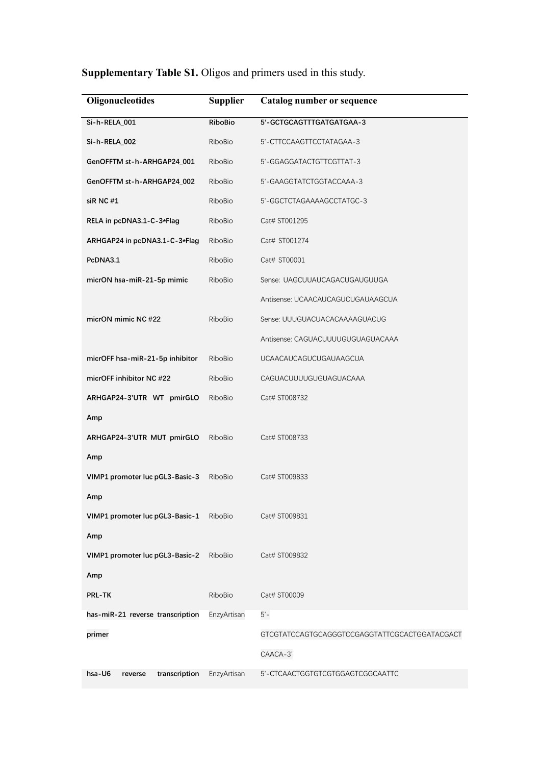| <b>Supplementary Table S1.</b> Oligos and primers used in this study. |
|-----------------------------------------------------------------------|
|-----------------------------------------------------------------------|

| Oligonucleotides                   | <b>Supplier</b> | Catalog number or sequence                    |
|------------------------------------|-----------------|-----------------------------------------------|
| Si-h-RELA_001                      | <b>RiboBio</b>  | 5'-GCTGCAGTTTGATGATGAA-3                      |
| Si-h-RELA_002                      | RiboBio         | 5'-CTTCCAAGTTCCTATAGAA-3                      |
| GenOFFTM st-h-ARHGAP24_001         | RiboBio         | 5'-GGAGGATACTGTTCGTTAT-3                      |
| GenOFFTM st-h-ARHGAP24_002         | RiboBio         | 5'-GAAGGTATCTGGTACCAAA-3                      |
| siR NC#1                           | RiboBio         | 5'-GGCTCTAGAAAAGCCTATGC-3                     |
| RELA in pcDNA3.1-C-3*Flag          | RiboBio         | Cat# ST001295                                 |
| ARHGAP24 in pcDNA3.1-C-3*Flag      | RiboBio         | Cat# ST001274                                 |
| PcDNA3.1                           | RiboBio         | Cat# ST00001                                  |
| micrON hsa-miR-21-5p mimic         | RiboBio         | Sense: UAGCUUAUCAGACUGAUGUUGA                 |
|                                    |                 | Antisense: UCAACAUCAGUCUGAUAAGCUA             |
| micrON mimic NC #22                | RiboBio         | Sense: UUUGUACUACACAAAAGUACUG                 |
|                                    |                 | Antisense: CAGUACUUUUGUGUAGUACAAA             |
| micrOFF hsa-miR-21-5p inhibitor    | RiboBio         | <b>UCAACAUCAGUCUGAUAAGCUA</b>                 |
| micrOFF inhibitor NC #22           | RiboBio         | CAGUACUUUUGUGUAGUACAAA                        |
| ARHGAP24-3'UTR WT pmirGLO          | RiboBio         | Cat# ST008732                                 |
| Amp                                |                 |                                               |
| ARHGAP24-3'UTR MUT pmirGLO         | RiboBio         | Cat# ST008733                                 |
| Amp                                |                 |                                               |
| VIMP1 promoter luc pGL3-Basic-3    | RiboBio         | Cat# ST009833                                 |
| Amp                                |                 |                                               |
| VIMP1 promoter luc pGL3-Basic-1    | RiboBio         | Cat# ST009831                                 |
| Amp                                |                 |                                               |
| VIMP1 promoter luc pGL3-Basic-2    | RiboBio         | Cat# ST009832                                 |
| Amp                                |                 |                                               |
| PRL-TK                             | RiboBio         | Cat# ST00009                                  |
| has-miR-21 reverse transcription   | EnzyArtisan     | $5'-$                                         |
| primer                             |                 | GTCGTATCCAGTGCAGGGTCCGAGGTATTCGCACTGGATACGACT |
|                                    |                 | CAACA-3'                                      |
| hsa-U6<br>transcription<br>reverse | EnzyArtisan     | 5'-CTCAACTGGTGTCGTGGAGTCGGCAATTC              |